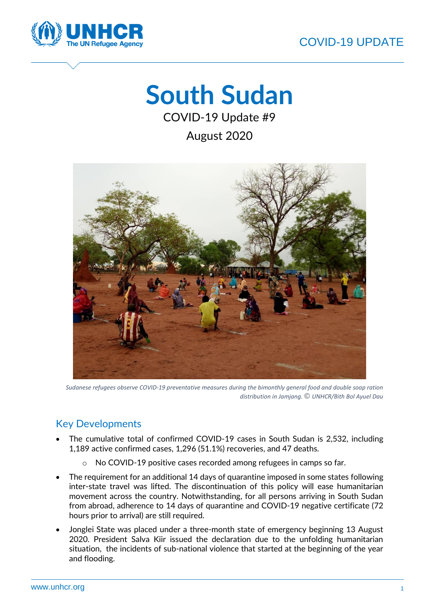

# **South Sudan**

COVID-19 Update #9

August 2020



*Sudanese refugees observe COVID-19 preventative measures during the bimonthly general food and double soap ration distribution in Jamjang. © UNHCR/Bith Bol Ayuel Dau*

## Key Developments

- The cumulative total of confirmed COVID-19 cases in South Sudan is 2,532, including 1,189 active confirmed cases, 1,296 (51.1%) recoveries, and 47 deaths.
	- o No COVID-19 positive cases recorded among refugees in camps so far.
- The requirement for an additional 14 days of quarantine imposed in some states following inter-state travel was lifted. The discontinuation of this policy will ease humanitarian movement across the country. Notwithstanding, for all persons arriving in South Sudan from abroad, adherence to 14 days of quarantine and COVID-19 negative certificate (72 hours prior to arrival) are still required.
- Jonglei State was placed under a three-month state of emergency beginning 13 August 2020. President Salva Kiir issued the declaration due to the unfolding humanitarian situation, the incidents of sub-national violence that started at the beginning of the year and flooding.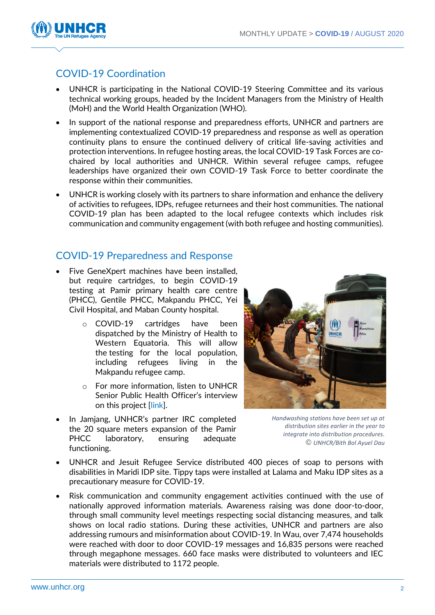

### COVID-19 Coordination

- UNHCR is participating in the National COVID-19 Steering Committee and its various technical working groups, headed by the Incident Managers from the Ministry of Health (MoH) and the World Health Organization (WHO).
- In support of the national response and preparedness efforts, UNHCR and partners are implementing contextualized COVID-19 preparedness and response as well as operation continuity plans to ensure the continued delivery of critical life-saving activities and protection interventions. In refugee hosting areas, the local COVID-19 Task Forces are cochaired by local authorities and UNHCR. Within several refugee camps, refugee leaderships have organized their own COVID-19 Task Force to better coordinate the response within their communities.
- UNHCR is working closely with its partners to share information and enhance the delivery of activities to refugees, IDPs, refugee returnees and their host communities. The national COVID-19 plan has been adapted to the local refugee contexts which includes risk communication and community engagement (with both refugee and hosting communities).

#### COVID-19 Preparedness and Response

- Five GeneXpert machines have been installed, but require cartridges, to begin COVID-19 testing at Pamir primary health care centre (PHCC), Gentile PHCC, Makpandu PHCC, Yei Civil Hospital, and Maban County hospital.
	- o COVID-19 cartridges have been dispatched by the Ministry of Health to Western Equatoria. This will allow the testing for the local population, including refugees living in the Makpandu refugee camp.
	- o For more information, listen to UNHCR Senior Public Health Officer's interview on this project [\[link\]](https://soundcloud.com/unhcrsouthsudan/unhcr-south-sudan-provides-genexpert-machine-to-boost-and-decentralize-covid-19-testing).
- In Jamjang, UNHCR's partner IRC completed the 20 square meters expansion of the Pamir PHCC laboratory, ensuring adequate functioning.



*Handwashing stations have been set up at distribution sites earlier in the year to integrate into distribution procedures. © UNHCR/Bith Bol Ayuel Dau*

- UNHCR and Jesuit Refugee Service distributed 400 pieces of soap to persons with disabilities in Maridi IDP site. Tippy taps were installed at Lalama and Maku IDP sites as a precautionary measure for COVID-19.
- Risk communication and community engagement activities continued with the use of nationally approved information materials. Awareness raising was done door-to-door, through small community level meetings respecting social distancing measures, and talk shows on local radio stations. During these activities, UNHCR and partners are also addressing rumours and misinformation about COVID-19. In Wau, over 7,474 households were reached with door to door COVID-19 messages and 16,835 persons were reached through megaphone messages. 660 face masks were distributed to volunteers and IEC materials were distributed to 1172 people.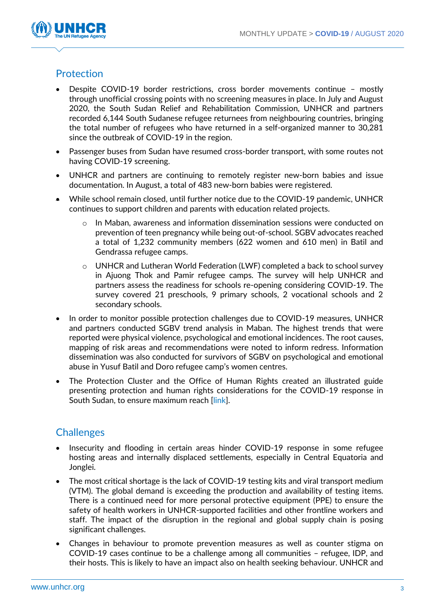

### **Protection**

- Despite COVID-19 border restrictions, cross border movements continue mostly through unofficial crossing points with no screening measures in place. In July and August 2020, the South Sudan Relief and Rehabilitation Commission, UNHCR and partners recorded 6,144 South Sudanese refugee returnees from neighbouring countries, bringing the total number of refugees who have returned in a self-organized manner to 30,281 since the outbreak of COVID-19 in the region.
- Passenger buses from Sudan have resumed cross-border transport, with some routes not having COVID-19 screening.
- UNHCR and partners are continuing to remotely register new-born babies and issue documentation. In August, a total of 483 new-born babies were registered.
- While school remain closed, until further notice due to the COVID-19 pandemic, UNHCR continues to support children and parents with education related projects.
	- $\circ$  In Maban, awareness and information dissemination sessions were conducted on prevention of teen pregnancy while being out-of-school. SGBV advocates reached a total of 1,232 community members (622 women and 610 men) in Batil and Gendrassa refugee camps.
	- $\circ$  UNHCR and Lutheran World Federation (LWF) completed a back to school survey in Ajuong Thok and Pamir refugee camps. The survey will help UNHCR and partners assess the readiness for schools re-opening considering COVID-19. The survey covered 21 preschools, 9 primary schools, 2 vocational schools and 2 secondary schools.
- In order to monitor possible protection challenges due to COVID-19 measures, UNHCR and partners conducted SGBV trend analysis in Maban. The highest trends that were reported were physical violence, psychological and emotional incidences. The root causes, mapping of risk areas and recommendations were noted to inform redress. Information dissemination was also conducted for survivors of SGBV on psychological and emotional abuse in Yusuf Batil and Doro refugee camp's women centres.
- The Protection Cluster and the Office of Human Rights created an illustrated guide presenting protection and human rights considerations for the COVID-19 response in South Sudan, to ensure maximum reach [\[link\]](https://data2.unhcr.org/en/documents/details/78563?fbclid=IwAR2SLDrLXFyDNtgZFrvH7HMpfPV-NgRKbVzXhNamMfENal4sjgu-UgpLH3U).

## **Challenges**

- Insecurity and flooding in certain areas hinder COVID-19 response in some refugee hosting areas and internally displaced settlements, especially in Central Equatoria and Jonglei.
- The most critical shortage is the lack of COVID-19 testing kits and viral transport medium (VTM). The global demand is exceeding the production and availability of testing items. There is a continued need for more personal protective equipment (PPE) to ensure the safety of health workers in UNHCR-supported facilities and other frontline workers and staff. The impact of the disruption in the regional and global supply chain is posing significant challenges.
- Changes in behaviour to promote prevention measures as well as counter stigma on COVID-19 cases continue to be a challenge among all communities – refugee, IDP, and their hosts. This is likely to have an impact also on health seeking behaviour. UNHCR and